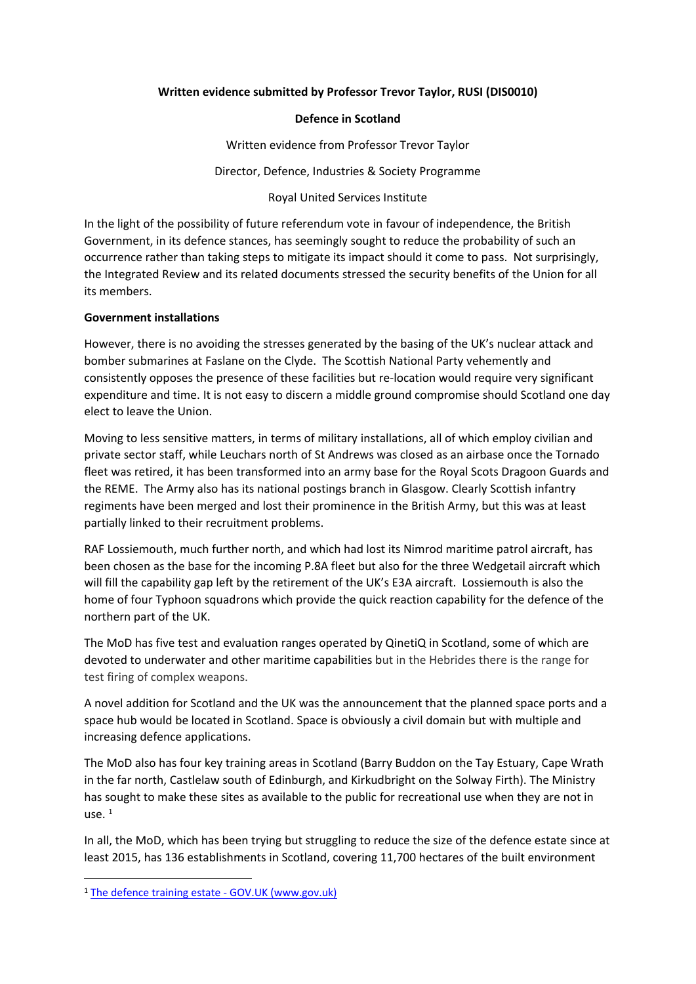### **Written evidence submitted by Professor Trevor Taylor, RUSI (DIS0010)**

### **Defence in Scotland**

Written evidence from Professor Trevor Taylor

Director, Defence, Industries & Society Programme

Royal United Services Institute

In the light of the possibility of future referendum vote in favour of independence, the British Government, in its defence stances, has seemingly sought to reduce the probability of such an occurrence rather than taking steps to mitigate its impact should it come to pass. Not surprisingly, the Integrated Review and its related documents stressed the security benefits of the Union for all its members.

# **Government installations**

However, there is no avoiding the stresses generated by the basing of the UK's nuclear attack and bomber submarines at Faslane on the Clyde. The Scottish National Party vehemently and consistently opposes the presence of these facilities but re-location would require very significant expenditure and time. It is not easy to discern a middle ground compromise should Scotland one day elect to leave the Union.

Moving to less sensitive matters, in terms of military installations, all of which employ civilian and private sector staff, while Leuchars north of St Andrews was closed as an airbase once the Tornado fleet was retired, it has been transformed into an army base for the Royal Scots Dragoon Guards and the REME. The Army also has its national postings branch in Glasgow. Clearly Scottish infantry regiments have been merged and lost their prominence in the British Army, but this was at least partially linked to their recruitment problems.

RAF Lossiemouth, much further north, and which had lost its Nimrod maritime patrol aircraft, has been chosen as the base for the incoming P.8A fleet but also for the three Wedgetail aircraft which will fill the capability gap left by the retirement of the UK's E3A aircraft. Lossiemouth is also the home of four Typhoon squadrons which provide the quick reaction capability for the defence of the northern part of the UK.

The MoD has five test and evaluation ranges operated by QinetiQ in Scotland, some of which are devoted to underwater and other maritime capabilities but in the Hebrides there is the range for test firing of complex weapons.

A novel addition for Scotland and the UK was the announcement that the planned space ports and a space hub would be located in Scotland. Space is obviously a civil domain but with multiple and increasing defence applications.

The MoD also has four key training areas in Scotland (Barry Buddon on the Tay Estuary, Cape Wrath in the far north, Castlelaw south of Edinburgh, and Kirkudbright on the Solway Firth). The Ministry has sought to make these sites as available to the public for recreational use when they are not in  $\mathsf{ILSE}^{-1}$ 

In all, the MoD, which has been trying but struggling to reduce the size of the defence estate since at least 2015, has 136 establishments in Scotland, covering 11,700 hectares of the built environment

<sup>1</sup> [The](https://www.gov.uk/guidance/defence-infrastructure-organisation-and-the-defence-training-estate#scotland) [defence](https://www.gov.uk/guidance/defence-infrastructure-organisation-and-the-defence-training-estate#scotland) [training](https://www.gov.uk/guidance/defence-infrastructure-organisation-and-the-defence-training-estate#scotland) [estate](https://www.gov.uk/guidance/defence-infrastructure-organisation-and-the-defence-training-estate#scotland) [-](https://www.gov.uk/guidance/defence-infrastructure-organisation-and-the-defence-training-estate#scotland) [GOV.UK](https://www.gov.uk/guidance/defence-infrastructure-organisation-and-the-defence-training-estate#scotland) [\(www.gov.uk\)](https://www.gov.uk/guidance/defence-infrastructure-organisation-and-the-defence-training-estate#scotland)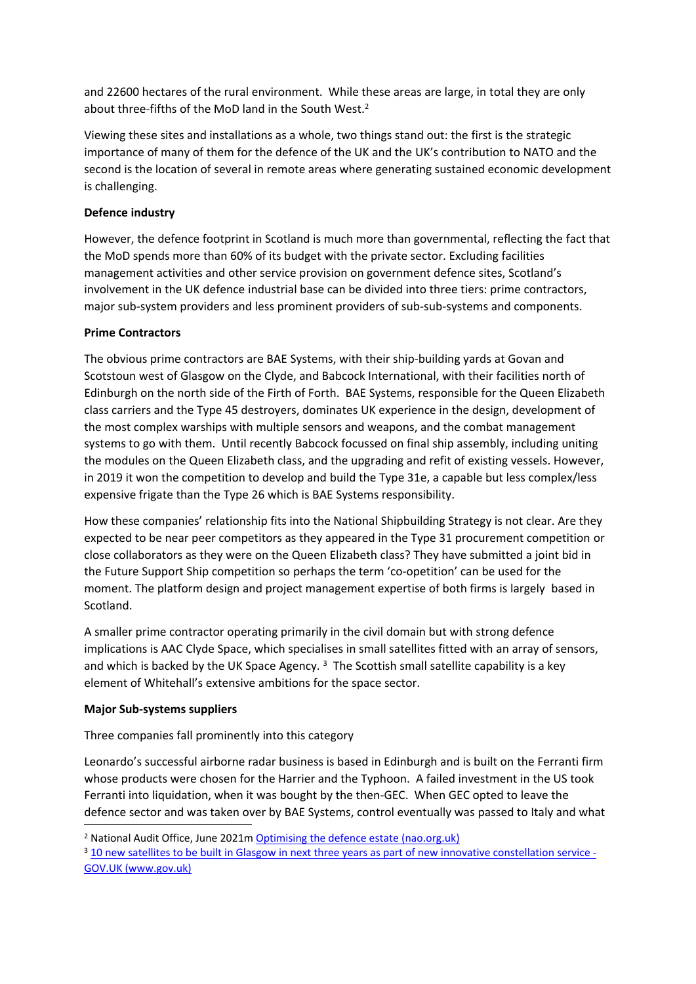and 22600 hectares of the rural environment. While these areas are large, in total they are only about three-fifths of the MoD land in the South West.<sup>2</sup>

Viewing these sites and installations as a whole, two things stand out: the first is the strategic importance of many of them for the defence of the UK and the UK's contribution to NATO and the second is the location of several in remote areas where generating sustained economic development is challenging.

# **Defence industry**

However, the defence footprint in Scotland is much more than governmental, reflecting the fact that the MoD spends more than 60% of its budget with the private sector. Excluding facilities management activities and other service provision on government defence sites, Scotland's involvement in the UK defence industrial base can be divided into three tiers: prime contractors, major sub-system providers and less prominent providers of sub-sub-systems and components.

# **Prime Contractors**

The obvious prime contractors are BAE Systems, with their ship-building yards at Govan and Scotstoun west of Glasgow on the Clyde, and Babcock International, with their facilities north of Edinburgh on the north side of the Firth of Forth. BAE Systems, responsible for the Queen Elizabeth class carriers and the Type 45 destroyers, dominates UK experience in the design, development of the most complex warships with multiple sensors and weapons, and the combat management systems to go with them. Until recently Babcock focussed on final ship assembly, including uniting the modules on the Queen Elizabeth class, and the upgrading and refit of existing vessels. However, in 2019 it won the competition to develop and build the Type 31e, a capable but less complex/less expensive frigate than the Type 26 which is BAE Systems responsibility.

How these companies' relationship fits into the National Shipbuilding Strategy is not clear. Are they expected to be near peer competitors as they appeared in the Type 31 procurement competition or close collaborators as they were on the Queen Elizabeth class? They have submitted a joint bid in the Future Support Ship competition so perhaps the term 'co-opetition' can be used for the moment. The platform design and project management expertise of both firms is largely based in Scotland.

A smaller prime contractor operating primarily in the civil domain but with strong defence implications is AAC Clyde Space, which specialises in small satellites fitted with an array of sensors, and which is backed by the UK Space Agency.  $3$  The Scottish small satellite capability is a key element of Whitehall's extensive ambitions for the space sector.

# **Major Sub-systems suppliers**

Three companies fall prominently into this category

Leonardo's successful airborne radar business is based in Edinburgh and is built on the Ferranti firm whose products were chosen for the Harrier and the Typhoon. A failed investment in the US took Ferranti into liquidation, when it was bought by the then-GEC. When GEC opted to leave the defence sector and was taken over by BAE Systems, control eventually was passed to Italy and what

<sup>&</sup>lt;sup>2</sup> National Audit Office, June 2021m [Optimising](https://www.nao.org.uk/wp-content/uploads/2021/06/Optimising-the-defence-estate.pdf) [the](https://www.nao.org.uk/wp-content/uploads/2021/06/Optimising-the-defence-estate.pdf) [defence](https://www.nao.org.uk/wp-content/uploads/2021/06/Optimising-the-defence-estate.pdf) [estate](https://www.nao.org.uk/wp-content/uploads/2021/06/Optimising-the-defence-estate.pdf) [\(nao.org.uk\)](https://www.nao.org.uk/wp-content/uploads/2021/06/Optimising-the-defence-estate.pdf)

<sup>&</sup>lt;sup>3</sup> 10 new satellites to be built in Glasgow in next three years as part of new innovative constellation service -GOV.UK (www.gov.uk)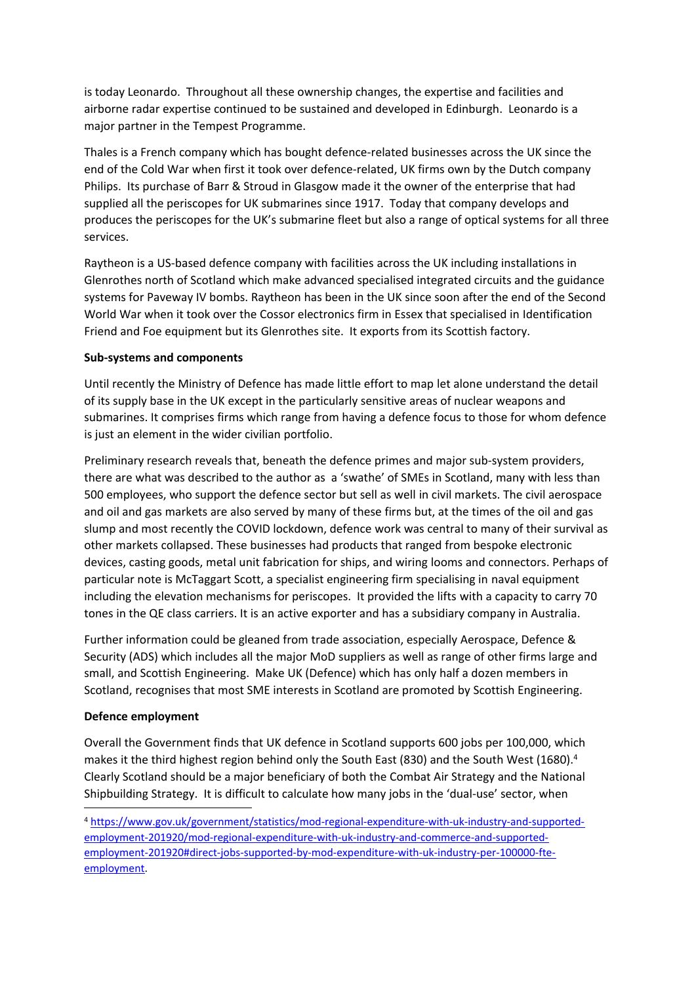is today Leonardo. Throughout all these ownership changes, the expertise and facilities and airborne radar expertise continued to be sustained and developed in Edinburgh. Leonardo is a major partner in the Tempest Programme.

Thales is a French company which has bought defence-related businesses across the UK since the end of the Cold War when first it took over defence-related, UK firms own by the Dutch company Philips. Its purchase of Barr & Stroud in Glasgow made it the owner of the enterprise that had supplied all the periscopes for UK submarines since 1917. Today that company develops and produces the periscopes for the UK's submarine fleet but also a range of optical systems for all three services.

Raytheon is a US-based defence company with facilities across the UK including installations in Glenrothes north of Scotland which make advanced specialised integrated circuits and the guidance systems for Paveway IV bombs. Raytheon has been in the UK since soon after the end of the Second World War when it took over the Cossor electronics firm in Essex that specialised in Identification Friend and Foe equipment but its Glenrothes site. It exports from its Scottish factory.

### **Sub-systems and components**

Until recently the Ministry of Defence has made little effort to map let alone understand the detail of its supply base in the UK except in the particularly sensitive areas of nuclear weapons and submarines. It comprises firms which range from having a defence focus to those for whom defence is just an element in the wider civilian portfolio.

Preliminary research reveals that, beneath the defence primes and major sub-system providers, there are what was described to the author as a 'swathe' of SMEs in Scotland, many with less than 500 employees, who support the defence sector but sell as well in civil markets. The civil aerospace and oil and gas markets are also served by many of these firms but, at the times of the oil and gas slump and most recently the COVID lockdown, defence work was central to many of their survival as other markets collapsed. These businesses had products that ranged from bespoke electronic devices, casting goods, metal unit fabrication for ships, and wiring looms and connectors. Perhaps of particular note is McTaggart Scott, a specialist engineering firm specialising in naval equipment including the elevation mechanisms for periscopes. It provided the lifts with a capacity to carry 70 tones in the QE class carriers. It is an active exporter and has a subsidiary company in Australia.

Further information could be gleaned from trade association, especially Aerospace, Defence & Security (ADS) which includes all the major MoD suppliers as well as range of other firms large and small, and Scottish Engineering. Make UK (Defence) which has only half a dozen members in Scotland, recognises that most SME interests in Scotland are promoted by Scottish Engineering.

#### **Defence employment**

Overall the Government finds that UK defence in Scotland supports 600 jobs per 100,000, which makes it the third highest region behind only the South East (830) and the South West (1680).<sup>4</sup> Clearly Scotland should be a major beneficiary of both the Combat Air Strategy and the National Shipbuilding Strategy. It is difficult to calculate how many jobs in the 'dual-use' sector, when

<sup>4</sup> [https://www.gov.uk/government/statistics/mod-regional-expenditure-with-uk-industry-and-supported](https://www.gov.uk/government/statistics/mod-regional-expenditure-with-uk-industry-and-supported-employment-201920/mod-regional-expenditure-with-uk-industry-and-commerce-and-supported-employment-201920#direct-jobs-supported-by-mod-expenditure-with-uk-industry-per-100000-fte-employment)[employment-201920/mod-regional-expenditure-with-uk-industry-and-commerce-and-supported](https://www.gov.uk/government/statistics/mod-regional-expenditure-with-uk-industry-and-supported-employment-201920/mod-regional-expenditure-with-uk-industry-and-commerce-and-supported-employment-201920#direct-jobs-supported-by-mod-expenditure-with-uk-industry-per-100000-fte-employment)[employment-201920#direct-jobs-supported-by-mod-expenditure-with-uk-industry-per-100000-fte](https://www.gov.uk/government/statistics/mod-regional-expenditure-with-uk-industry-and-supported-employment-201920/mod-regional-expenditure-with-uk-industry-and-commerce-and-supported-employment-201920#direct-jobs-supported-by-mod-expenditure-with-uk-industry-per-100000-fte-employment)[employment.](https://www.gov.uk/government/statistics/mod-regional-expenditure-with-uk-industry-and-supported-employment-201920/mod-regional-expenditure-with-uk-industry-and-commerce-and-supported-employment-201920#direct-jobs-supported-by-mod-expenditure-with-uk-industry-per-100000-fte-employment)